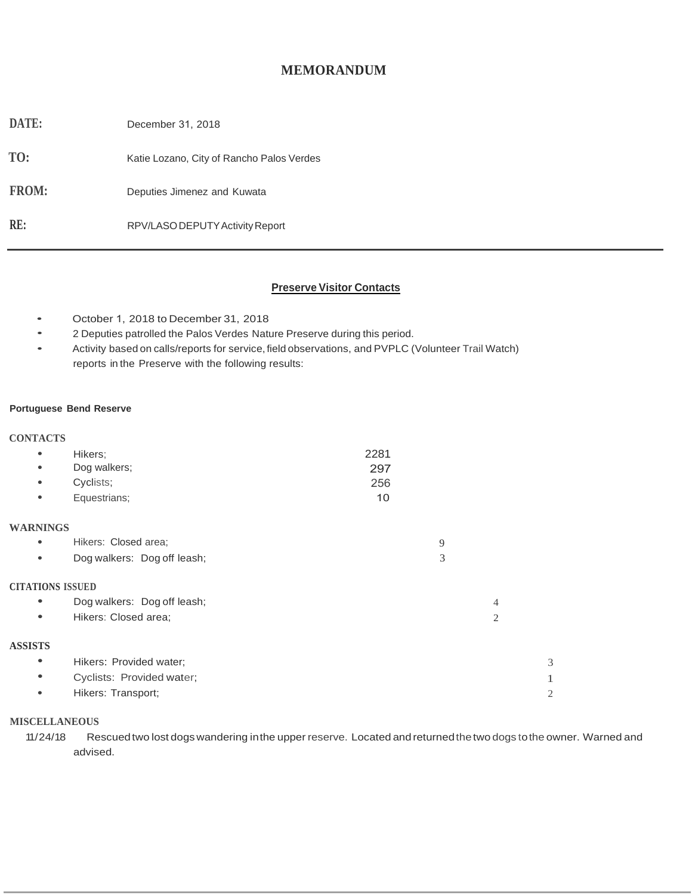# **MEMORANDUM**

**DATE:** December 31, 2018

TO: Katie Lozano, City of Rancho Palos Verdes

**FROM:** Deputies Jimenez and Kuwata

RE: RPV/LASODEPUTY Activity Report

# **Preserve Visitor Contacts**

- October 1, 2018 to December 31, 2018
- 2 Deputies patrolled the Palos Verdes Nature Preserve during this period.
- Activity based on calls/reports for service, field observations, and PVPLC (Volunteer Trail Watch)
- reports in the Preserve with the following results:

### **Portuguese Bend Reserve**

## **CONTACTS**

<span id="page-0-1"></span><span id="page-0-0"></span>

| ٠                       | Hikers;                     | 2281 |   |   |   |
|-------------------------|-----------------------------|------|---|---|---|
| $\bullet$               | Dog walkers;                | 297  |   |   |   |
| $\bullet$               | Cyclists;                   | 256  |   |   |   |
| $\bullet$               | Equestrians;                | 10   |   |   |   |
| <b>WARNINGS</b>         |                             |      |   |   |   |
| $\bullet$               | Hikers: Closed area;        |      | 9 |   |   |
| $\bullet$               | Dog walkers: Dog off leash; |      | 3 |   |   |
| <b>CITATIONS ISSUED</b> |                             |      |   |   |   |
| $\bullet$               | Dog walkers: Dog off leash; |      |   | 4 |   |
| $\bullet$               | Hikers: Closed area;        |      |   | 2 |   |
| <b>ASSISTS</b>          |                             |      |   |   |   |
| ٠                       | Hikers: Provided water;     |      |   |   | 3 |
| ٠                       | Cyclists: Provided water;   |      |   |   | 1 |
| ٠                       | Hikers: Transport;          |      |   |   | 2 |

# **MISCELLANEOUS**

11/24/18 Rescued two lost dogs wandering in the upper reserve. Located and returned the two dogs to the owner. Warned and advised.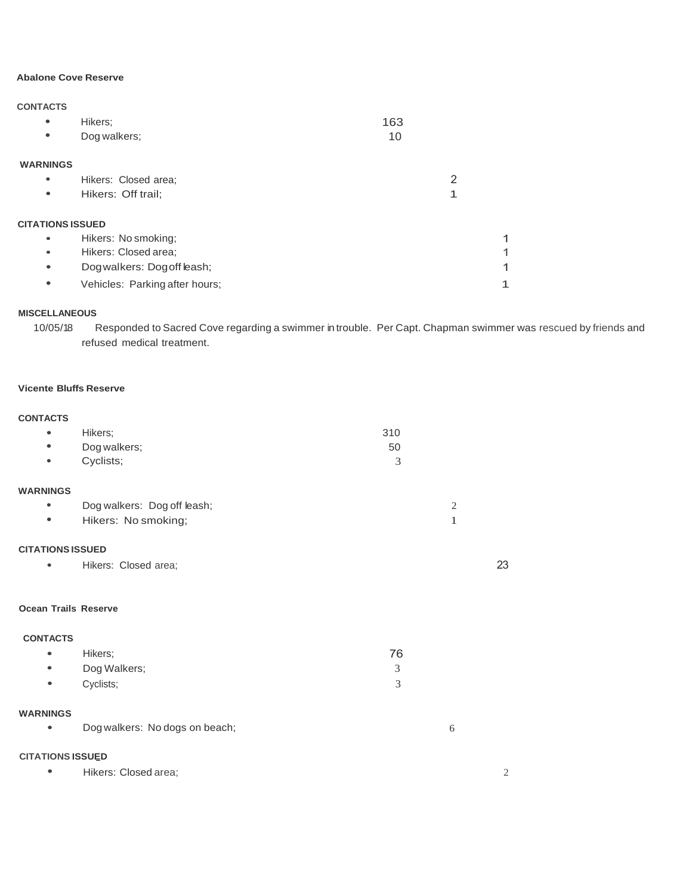## **Abalone Cove Reserve**

# **CONTACTS**

| $\bullet$               | Hikers;                        | 163 |              |
|-------------------------|--------------------------------|-----|--------------|
| $\bullet$               | Dog walkers;                   | 10  |              |
| <b>WARNINGS</b>         |                                |     |              |
|                         |                                |     |              |
| ٠                       | Hikers: Closed area;           |     | 2            |
| ٠                       | Hikers: Off trail;             |     | 1            |
| <b>CITATIONS ISSUED</b> |                                |     |              |
| ٠                       | Hikers: No smoking;            |     | 1            |
| ٠                       | Hikers: Closed area;           |     | 1            |
| ٠                       | Dogwalkers: Dog off leash;     |     | $\mathbf{1}$ |
| ٠                       | Vehicles: Parking after hours; |     | 1            |

### **MISCELLANEOUS**

10/05/18 Responded to Sacred Cove regarding a swimmer in trouble. Per Capt. Chapman swimmer was rescued by friends and refused medical treatment.

## **Vicente Bluffs Reserve**

# **CONTACTS**

| $\bullet$                   | Hikers;                        | 310 |                |                |
|-----------------------------|--------------------------------|-----|----------------|----------------|
|                             | Dog walkers;                   | 50  |                |                |
| ٠                           | Cyclists;                      | 3   |                |                |
| <b>WARNINGS</b>             |                                |     |                |                |
| $\bullet$                   | Dog walkers: Dog off leash;    |     | $\mathfrak{2}$ |                |
| ٠                           | Hikers: No smoking;            |     | $\mathbf{1}$   |                |
| <b>CITATIONS ISSUED</b>     |                                |     |                |                |
|                             | Hikers: Closed area;           |     |                | 23             |
|                             |                                |     |                |                |
| <b>Ocean Trails Reserve</b> |                                |     |                |                |
| <b>CONTACTS</b>             |                                |     |                |                |
| $\bullet$                   | Hikers;                        | 76  |                |                |
| $\bullet$                   | Dog Walkers;                   | 3   |                |                |
| ۰                           | Cyclists;                      | 3   |                |                |
| <b>WARNINGS</b>             |                                |     |                |                |
|                             | Dog walkers: No dogs on beach; |     | 6              |                |
| <b>CITATIONS ISSUED</b>     |                                |     |                |                |
|                             | Hikers: Closed area;           |     |                | $\overline{2}$ |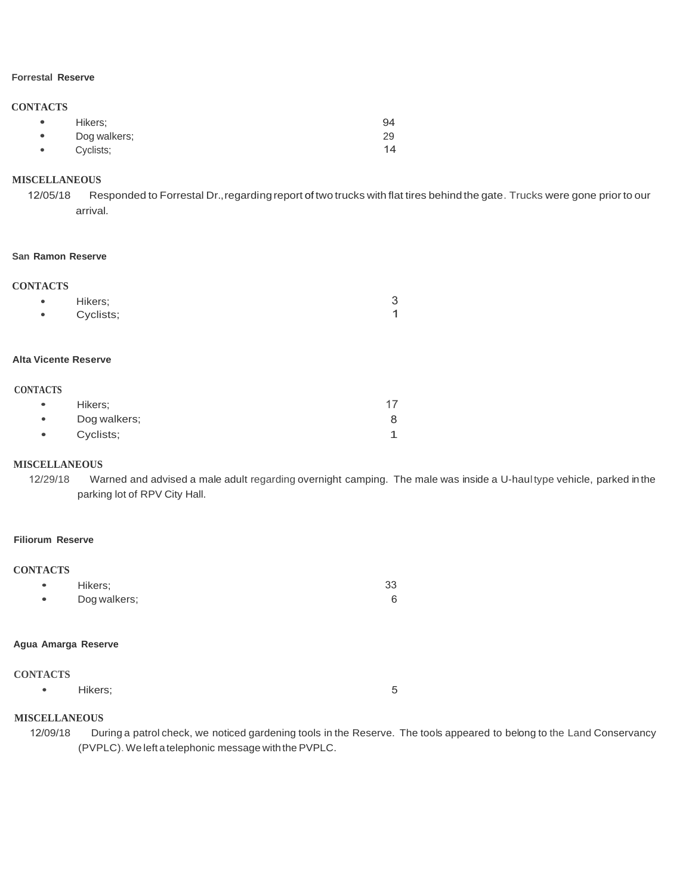#### **Forrestal Reserve**

### **CONTACTS**

| $\bullet$ | Hikers:      | 94 |
|-----------|--------------|----|
| $\bullet$ | Dog walkers; | 29 |
| $\bullet$ | Cyclists;    |    |

# **MISCELLANEOUS**

12/05/18 Responded to Forrestal Dr.,regarding report of two trucks with flat tires behind the gate. Trucks were gone priorto our arrival.

### **San Ramon Reserve**

# <span id="page-2-0"></span>**CONTACTS**

| $\bullet$ | Hikers;   | 3                        |
|-----------|-----------|--------------------------|
|           | Cyclists; | $\overline{\mathcal{A}}$ |

# **Alta Vicente Reserve**

#### **CONTACTS**

| $\bullet$ | Hikers:      |   |
|-----------|--------------|---|
| $\bullet$ | Dog walkers; | 8 |
| $\bullet$ | Cyclists;    |   |

### **MISCELLANEOUS**

12/29/18 Warned and advised a male adult regarding overnight camping. The male was inside a U-haul type vehicle, parked in the parking lot of RPV City Hall.

## **Filiorum Reserve**

## **CONTACTS**

| ٠         | Hikers:      | 33 |
|-----------|--------------|----|
| $\bullet$ | Dog walkers; |    |

### **Agua Amarga Reserve**

## **CONTACTS**

| $\bullet$ | Hikers; | ь<br>∼ |
|-----------|---------|--------|
|           |         |        |

# **MISCELLANEOUS**

12/09/18 During a patrol check, we noticed gardening tools in the Reserve. The tools appeared to belong to the Land Conservancy (PVPLC). We left a telephonic message with the PVPLC.